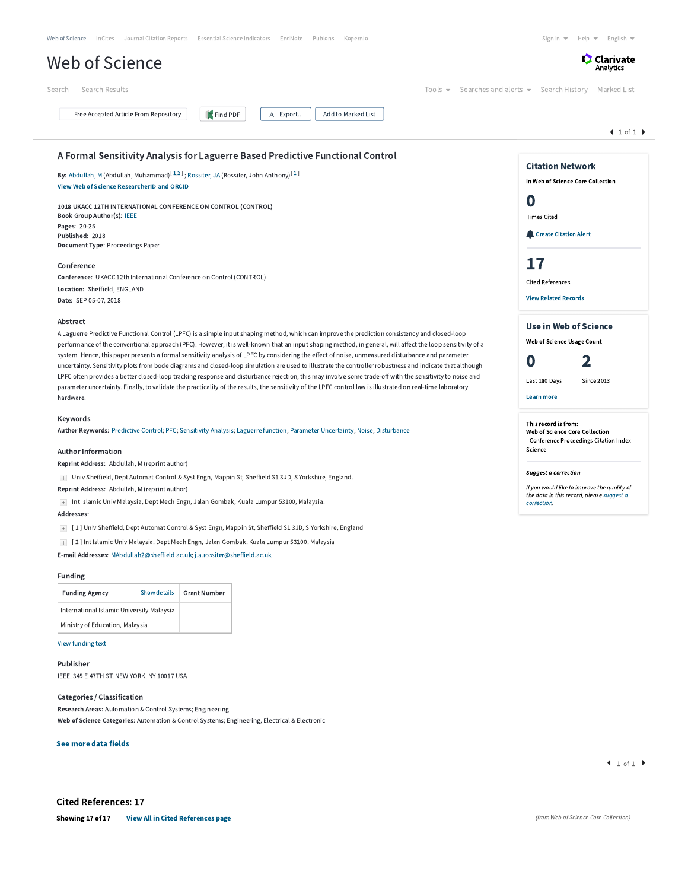|                                                                                                                                                            |                     | Web of Science InCites Journal Citation Reports Essential Science Indicators EndNote Publons<br>Kopernio                                                                                                                                                                                                      |                                                                                          | Sign In $\blacktriangledown$<br>$Help =$<br>English $\blacktriangledown$   |
|------------------------------------------------------------------------------------------------------------------------------------------------------------|---------------------|---------------------------------------------------------------------------------------------------------------------------------------------------------------------------------------------------------------------------------------------------------------------------------------------------------------|------------------------------------------------------------------------------------------|----------------------------------------------------------------------------|
| <b>Web of Science</b>                                                                                                                                      |                     |                                                                                                                                                                                                                                                                                                               |                                                                                          | <b>C</b> Clarivate<br>Analytics                                            |
| Search Results<br>Search                                                                                                                                   |                     |                                                                                                                                                                                                                                                                                                               | $Tools =$                                                                                | Searches and alerts ▼ Search History Marked List                           |
| Free Accepted Article From Repository                                                                                                                      | Find PDF            | Add to Marked List<br>A Export                                                                                                                                                                                                                                                                                |                                                                                          |                                                                            |
|                                                                                                                                                            |                     |                                                                                                                                                                                                                                                                                                               |                                                                                          | 1 of 1                                                                     |
|                                                                                                                                                            |                     | A Formal Sensitivity Analysis for Laguerre Based Predictive Functional Control                                                                                                                                                                                                                                |                                                                                          | <b>Citation Network</b>                                                    |
| By: Abdullah, M (Abdullah, Muhammad) <sup>[1,2]</sup> ; Rossiter, JA (Rossiter, John Anthony) <sup>[1]</sup><br>View Web of Science ResearcherID and ORCID |                     |                                                                                                                                                                                                                                                                                                               |                                                                                          | In Web of Science Core Collection                                          |
| 2018 UKACC 12TH INTERNATIONAL CONFERENCE ON CONTROL (CONTROL)                                                                                              |                     |                                                                                                                                                                                                                                                                                                               |                                                                                          | 0                                                                          |
| Book Group Author(s): IEEE<br>Pages: 20-25                                                                                                                 |                     |                                                                                                                                                                                                                                                                                                               |                                                                                          | <b>Times Cited</b><br>Create Citation Alert                                |
| Published: 2018<br>Document Type: Proceedings Paper                                                                                                        |                     |                                                                                                                                                                                                                                                                                                               |                                                                                          |                                                                            |
| Conference                                                                                                                                                 |                     |                                                                                                                                                                                                                                                                                                               |                                                                                          | 17                                                                         |
| Conference: UKACC 12th International Conference on Control (CONTROL)<br>Location: Sheffield, ENGLAND                                                       |                     |                                                                                                                                                                                                                                                                                                               |                                                                                          | <b>Cited References</b>                                                    |
| Date: SEP 05-07, 2018                                                                                                                                      |                     |                                                                                                                                                                                                                                                                                                               |                                                                                          | <b>View Related Records</b>                                                |
| Abstract                                                                                                                                                   |                     | A Laguerre Predictive Functional Control (LPFC) is a simple input shaping method, which can improve the prediction consistency and closed-loop                                                                                                                                                                |                                                                                          | <b>Use in Web of Science</b>                                               |
|                                                                                                                                                            |                     | performance of the conventional approach (PFC). However, it is well-known that an input shaping method, in general, will affect the loop sensitivity of a                                                                                                                                                     |                                                                                          | Web of Science Usage Count                                                 |
|                                                                                                                                                            |                     | system. Hence, this paper presents a formal sensitivity analysis of LPFC by considering the effect of noise, unmeasured disturbance and parameter<br>uncertainty. Sensitivity plots from bode diagrams and closed-loop simulation are used to illustrate the controller robustness and indicate that although |                                                                                          | 0<br>2                                                                     |
|                                                                                                                                                            |                     | LPFC often provides a better closed-loop tracking response and disturbance rejection, this may involve some trade-off with the sensitivity to noise and                                                                                                                                                       |                                                                                          | Last 180 Days<br><b>Since 2013</b>                                         |
| hardware.                                                                                                                                                  |                     | parameter uncertainty. Finally, to validate the practicality of the results, the sensitivity of the LPFC control law is illustrated on real-time laboratory                                                                                                                                                   |                                                                                          | <b>Learn more</b>                                                          |
| Keywords                                                                                                                                                   |                     |                                                                                                                                                                                                                                                                                                               |                                                                                          | This record is from:                                                       |
|                                                                                                                                                            |                     | Author Keywords: Predictive Control; PFC; Sensitivity Analysis; Laguerre function; Parameter Uncertainty; Noise; Disturbance                                                                                                                                                                                  |                                                                                          | Web of Science Core Collection<br>- Conference Proceedings Citation Index- |
| <b>Author Information</b><br>Reprint Address: Abdullah, M (reprint author)                                                                                 |                     |                                                                                                                                                                                                                                                                                                               |                                                                                          | Science                                                                    |
| + Univ Sheffield, Dept Automat Control & Syst Engn, Mappin St, Sheffield S1 3JD, S Yorkshire, England.                                                     |                     |                                                                                                                                                                                                                                                                                                               | Suggest a correction                                                                     |                                                                            |
| Reprint Address: Abdullah, M (reprint author)<br>+ Int Islamic Univ Malaysia, Dept Mech Engn, Jalan Gombak, Kuala Lumpur 53100, Malaysia.                  |                     |                                                                                                                                                                                                                                                                                                               | If you would like to improve the quality of<br>the data in this record, please suggest a |                                                                            |
| Addresses:                                                                                                                                                 |                     |                                                                                                                                                                                                                                                                                                               |                                                                                          | correction.                                                                |
|                                                                                                                                                            |                     | [1] Univ Sheffield, Dept Automat Control & Syst Engn, Mappin St, Sheffield S1 3JD, S Yorkshire, England                                                                                                                                                                                                       |                                                                                          |                                                                            |
| + [2] Int Islamic Univ Malaysia, Dept Mech Engn, Jalan Gombak, Kuala Lumpur 53100, Malaysia                                                                |                     |                                                                                                                                                                                                                                                                                                               |                                                                                          |                                                                            |
| E-mail Addresses: MAbdullah2@sheffield.ac.uk; j.a.rossiter@sheffield.ac.uk                                                                                 |                     |                                                                                                                                                                                                                                                                                                               |                                                                                          |                                                                            |
| <b>Funding</b><br><b>Funding Agency</b><br>Show details                                                                                                    | <b>Grant Number</b> |                                                                                                                                                                                                                                                                                                               |                                                                                          |                                                                            |
| International Islamic University Malaysia                                                                                                                  |                     |                                                                                                                                                                                                                                                                                                               |                                                                                          |                                                                            |
| Ministry of Education, Malaysia                                                                                                                            |                     |                                                                                                                                                                                                                                                                                                               |                                                                                          |                                                                            |
| View funding text                                                                                                                                          |                     |                                                                                                                                                                                                                                                                                                               |                                                                                          |                                                                            |
| Publisher                                                                                                                                                  |                     |                                                                                                                                                                                                                                                                                                               |                                                                                          |                                                                            |
| IEEE, 345 E 47TH ST, NEW YORK, NY 10017 USA                                                                                                                |                     |                                                                                                                                                                                                                                                                                                               |                                                                                          |                                                                            |
| Categories / Classification                                                                                                                                |                     |                                                                                                                                                                                                                                                                                                               |                                                                                          |                                                                            |
| Research Areas: Automation & Control Systems; Engineering<br>Web of Science Categories: Automation & Control Systems; Engineering, Electrical & Electronic |                     |                                                                                                                                                                                                                                                                                                               |                                                                                          |                                                                            |
|                                                                                                                                                            |                     |                                                                                                                                                                                                                                                                                                               |                                                                                          |                                                                            |
| See more data fields                                                                                                                                       |                     |                                                                                                                                                                                                                                                                                                               |                                                                                          | $1$ of 1                                                                   |
|                                                                                                                                                            |                     |                                                                                                                                                                                                                                                                                                               |                                                                                          |                                                                            |
| <b>Cited References: 17</b>                                                                                                                                |                     |                                                                                                                                                                                                                                                                                                               |                                                                                          |                                                                            |
|                                                                                                                                                            |                     |                                                                                                                                                                                                                                                                                                               |                                                                                          |                                                                            |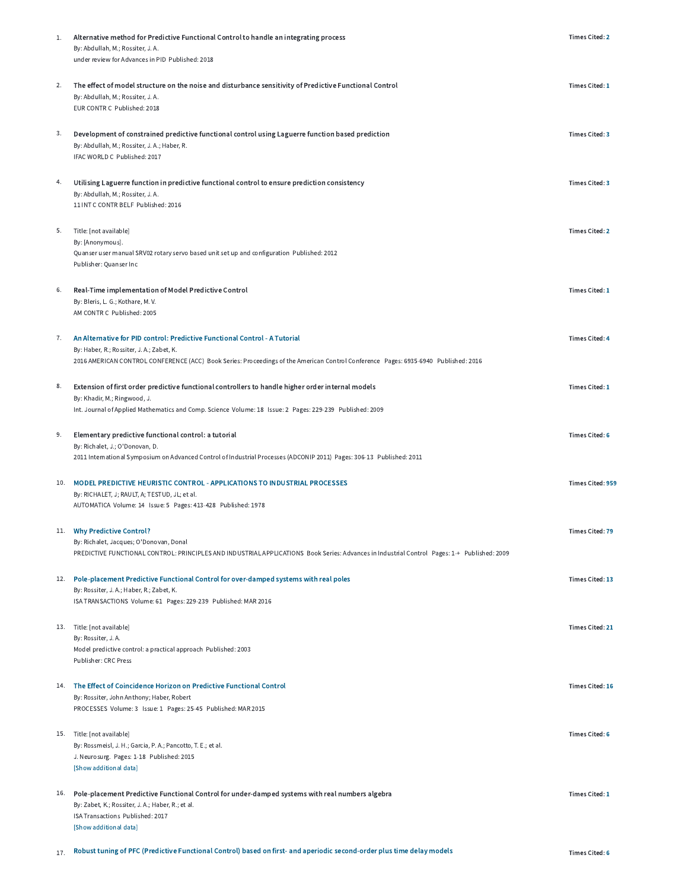| 1.  | Alternative method for Predictive Functional Control to handle an integrating process<br>By: Abdullah, M.; Rossiter, J. A.<br>under review for Advances in PID Published: 2018                                                                                 | <b>Times Cited: 2</b>   |
|-----|----------------------------------------------------------------------------------------------------------------------------------------------------------------------------------------------------------------------------------------------------------------|-------------------------|
| 2.  | The effect of model structure on the noise and disturbance sensitivity of Predictive Functional Control<br>By: Abdullah, M.; Rossiter, J. A.<br>EUR CONTR C Published: 2018                                                                                    | <b>Times Cited: 1</b>   |
| 3.  | Development of constrained predictive functional control using Laguerre function based prediction<br>By: Abdullah, M.; Rossiter, J. A.; Haber, R.<br>IFAC WORLD C Published: 2017                                                                              | <b>Times Cited: 3</b>   |
| 4.  | Utilising Laguerre function in predictive functional control to ensure prediction consistency<br>By: Abdullah, M.; Rossiter, J. A.<br>11 INT C CONTR BELF Published: 2016                                                                                      | <b>Times Cited: 3</b>   |
| 5.  | Title: [not available]<br>By: [Anonymous].<br>Quanser user manual SRV02 rotary servo based unit set up and configuration Published: 2012<br>Publisher: Quanser Inc                                                                                             | <b>Times Cited: 2</b>   |
| 6.  | Real-Time implementation of Model Predictive Control<br>By: Bleris, L. G.; Kothare, M. V.<br>AM CONTR C Published: 2005                                                                                                                                        | Times Cited: 1          |
| 7.  | An Alternative for PID control: Predictive Functional Control - A Tutorial<br>By: Haber, R.; Rossiter, J. A.; Zabet, K.<br>2016 AMERICAN CONTROL CONFERENCE (ACC) Book Series: Proceedings of the American Control Conference Pages: 6935-6940 Published: 2016 | <b>Times Cited: 4</b>   |
| 8.  | Extension of first order predictive functional controllers to handle higher order internal models<br>By: Khadir, M.; Ringwood, J.<br>Int. Journal of Applied Mathematics and Comp. Science Volume: 18 Issue: 2 Pages: 229-239 Published: 2009                  | Times Cited: 1          |
| 9.  | Elementary predictive functional control: a tutorial<br>By: Richalet, J.; O'Donovan, D.<br>2011 International Symposium on Advanced Control of Industrial Processes (ADCONIP 2011) Pages: 306-13 Published: 2011                                               | <b>Times Cited: 6</b>   |
| 10. | MODEL PREDICTIVE HEURISTIC CONTROL - APPLICATIONS TO INDUSTRIAL PROCESSES<br>By: RICHALET, J; RAULT, A; TESTUD, JL; et al.<br>AUTOMATICA Volume: 14 Issue: 5 Pages: 413-428 Published: 1978                                                                    | <b>Times Cited: 959</b> |
|     | 11. Why Predictive Control?<br>By: Richalet, Jacques; O'Donovan, Donal<br>PREDICTIVE FUNCTIONAL CONTROL: PRINCIPLES AND INDUSTRIAL APPLICATIONS Book Series: Advances in Industrial Control Pages: 1-+ Published: 2009                                         | <b>Times Cited: 79</b>  |
|     | 12. Pole-placement Predictive Functional Control for over-damped systems with real poles<br>By: Rossiter, J. A.; Haber, R.; Zabet, K.<br>ISA TRANSACTIONS Volume: 61 Pages: 229-239 Published: MAR 2016                                                        | <b>Times Cited: 13</b>  |
|     | 13. Title: [not available]<br>By: Rossiter, J.A.<br>Model predictive control: a practical approach Published: 2003<br><b>Publisher: CRC Press</b>                                                                                                              | <b>Times Cited: 21</b>  |
|     | 14. The Effect of Coincidence Horizon on Predictive Functional Control<br>By: Rossiter, John Anthony; Haber, Robert<br>PROCESSES Volume: 3 Issue: 1 Pages: 25-45 Published: MAR 2015                                                                           | <b>Times Cited: 16</b>  |
|     | 15. Title: [not available]<br>By: Rossmeisl, J. H.; Garcia, P. A.; Pancotto, T. E.; et al.<br>J. Neurosurg. Pages: 1-18 Published: 2015<br>[Show additional data]                                                                                              | <b>Times Cited: 6</b>   |
|     | 16. Pole-placement Predictive Functional Control for under-damped systems with real numbers algebra<br>By: Zabet, K.; Rossiter, J. A.; Haber, R.; et al.<br>ISA Transactions Published: 2017<br>[Show additional data]                                         | Times Cited: 1          |
| 17. | Robust tuning of PFC (Predictive Functional Control) based on first- and aperiodic second-order plus time delay models                                                                                                                                         | <b>Times Cited: 6</b>   |